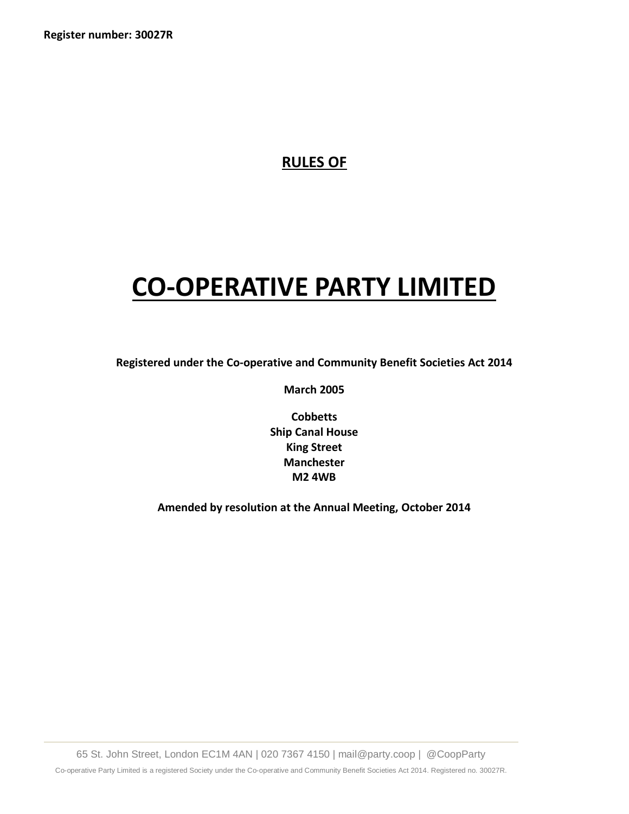**Register number: 30027R**

# **RULES OF**

# **CO-OPERATIVE PARTY LIMITED**

**Registered under the Co-operative and Community Benefit Societies Act 2014**

**March 2005** 

**Cobbetts Ship Canal House King Street Manchester M2 4WB**

**Amended by resolution at the Annual Meeting, October 2014**

65 St. John Street, London EC1M 4AN | 020 7367 4150 | mail@party.coop | @CoopParty Co-operative Party Limited is a registered Society under the Co-operative and Community Benefit Societies Act 2014. Registered no. 30027R.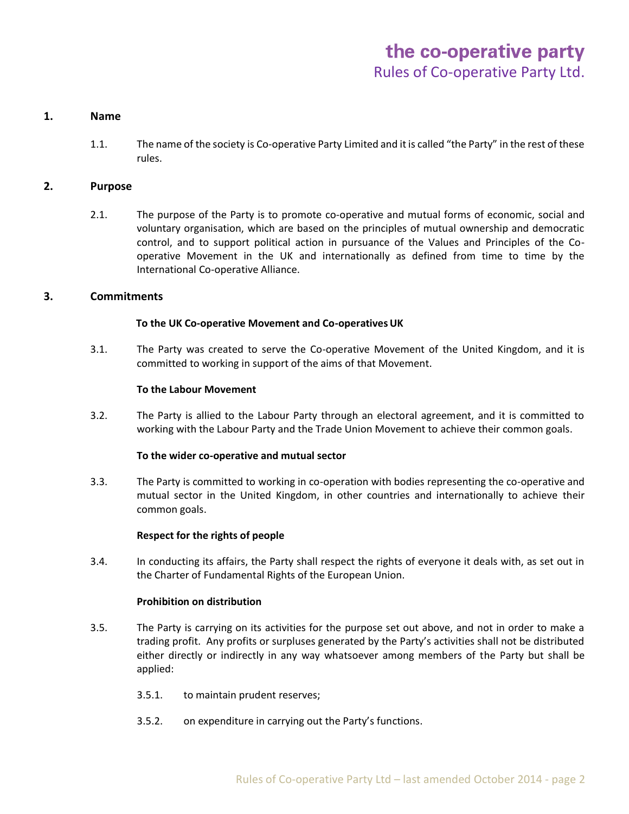# **1. Name**

1.1. The name of the society is Co-operative Party Limited and it is called "the Party" in the rest of these rules.

# **2. Purpose**

2.1. The purpose of the Party is to promote co-operative and mutual forms of economic, social and voluntary organisation, which are based on the principles of mutual ownership and democratic control, and to support political action in pursuance of the Values and Principles of the Cooperative Movement in the UK and internationally as defined from time to time by the International Co-operative Alliance.

# **3. Commitments**

# **To the UK Co-operative Movement and Co-operativesUK**

3.1. The Party was created to serve the Co-operative Movement of the United Kingdom, and it is committed to working in support of the aims of that Movement.

# **To the Labour Movement**

3.2. The Party is allied to the Labour Party through an electoral agreement, and it is committed to working with the Labour Party and the Trade Union Movement to achieve their common goals.

# **To the wider co-operative and mutual sector**

3.3. The Party is committed to working in co-operation with bodies representing the co-operative and mutual sector in the United Kingdom, in other countries and internationally to achieve their common goals.

# **Respect for the rights of people**

3.4. In conducting its affairs, the Party shall respect the rights of everyone it deals with, as set out in the Charter of Fundamental Rights of the European Union.

# **Prohibition on distribution**

- 3.5. The Party is carrying on its activities for the purpose set out above, and not in order to make a trading profit. Any profits or surpluses generated by the Party's activities shall not be distributed either directly or indirectly in any way whatsoever among members of the Party but shall be applied:
	- 3.5.1. to maintain prudent reserves;
	- 3.5.2. on expenditure in carrying out the Party's functions.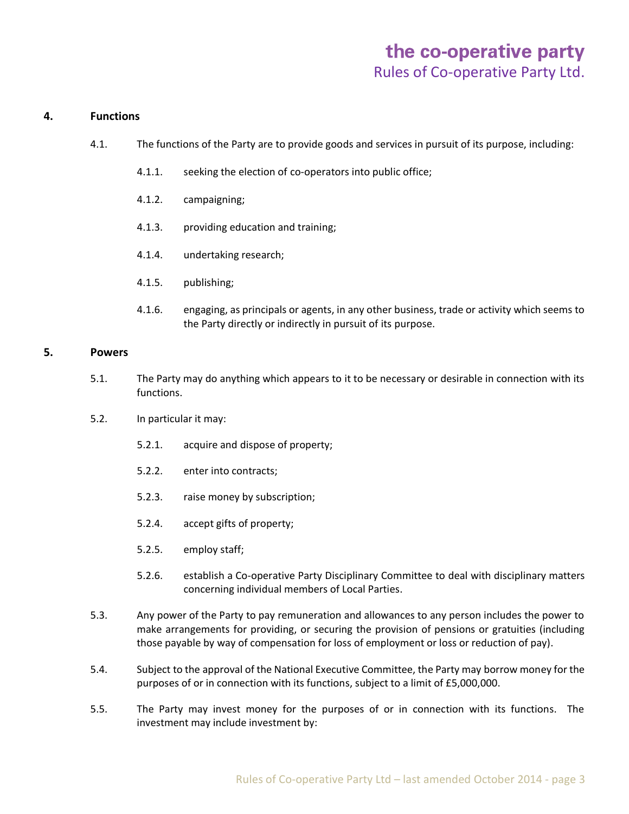# the co-operative party Rules of Co-operative Party Ltd.

# **4. Functions**

- 4.1. The functions of the Party are to provide goods and services in pursuit of its purpose, including:
	- 4.1.1. seeking the election of co-operators into public office;
	- 4.1.2. campaigning;
	- 4.1.3. providing education and training;
	- 4.1.4. undertaking research;
	- 4.1.5. publishing;
	- 4.1.6. engaging, as principals or agents, in any other business, trade or activity which seems to the Party directly or indirectly in pursuit of its purpose.

# **5. Powers**

- 5.1. The Party may do anything which appears to it to be necessary or desirable in connection with its functions.
- 5.2. In particular it may:
	- 5.2.1. acquire and dispose of property;
	- 5.2.2. enter into contracts;
	- 5.2.3. raise money by subscription;
	- 5.2.4. accept gifts of property;
	- 5.2.5. employ staff;
	- 5.2.6. establish a Co-operative Party Disciplinary Committee to deal with disciplinary matters concerning individual members of Local Parties.
- 5.3. Any power of the Party to pay remuneration and allowances to any person includes the power to make arrangements for providing, or securing the provision of pensions or gratuities (including those payable by way of compensation for loss of employment or loss or reduction of pay).
- 5.4. Subject to the approval of the National Executive Committee, the Party may borrow money for the purposes of or in connection with its functions, subject to a limit of £5,000,000.
- 5.5. The Party may invest money for the purposes of or in connection with its functions. The investment may include investment by: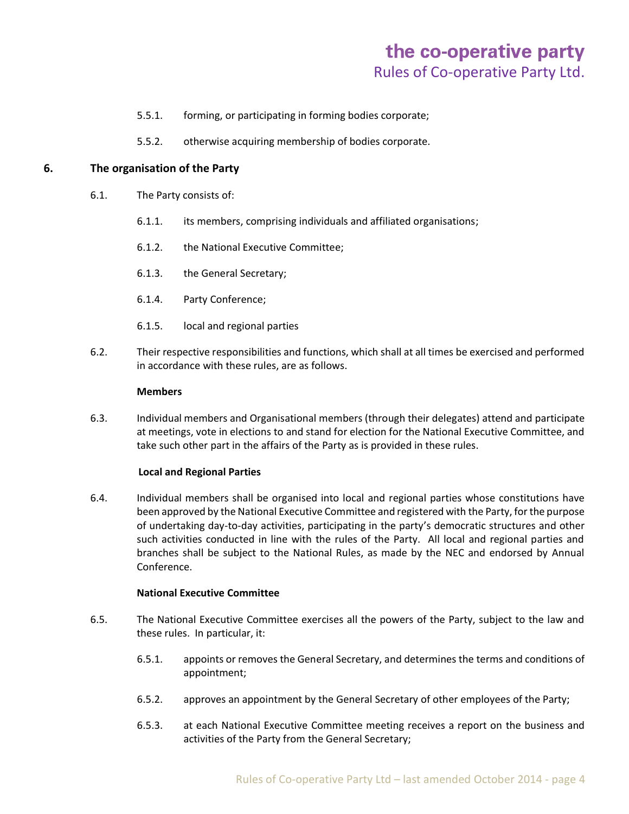- 5.5.1. forming, or participating in forming bodies corporate;
- 5.5.2. otherwise acquiring membership of bodies corporate.

# **6. The organisation of the Party**

- 6.1. The Party consists of:
	- 6.1.1. its members, comprising individuals and affiliated organisations;
	- 6.1.2. the National Executive Committee;
	- 6.1.3. the General Secretary;
	- 6.1.4. Party Conference;
	- 6.1.5. local and regional parties
- 6.2. Their respective responsibilities and functions, which shall at all times be exercised and performed in accordance with these rules, are as follows.

#### **Members**

6.3. Individual members and Organisational members (through their delegates) attend and participate at meetings, vote in elections to and stand for election for the National Executive Committee, and take such other part in the affairs of the Party as is provided in these rules.

# **Local and Regional Parties**

6.4. Individual members shall be organised into local and regional parties whose constitutions have been approved by the National Executive Committee and registered with the Party, for the purpose of undertaking day-to-day activities, participating in the party's democratic structures and other such activities conducted in line with the rules of the Party. All local and regional parties and branches shall be subject to the National Rules, as made by the NEC and endorsed by Annual Conference.

# **National Executive Committee**

- 6.5. The National Executive Committee exercises all the powers of the Party, subject to the law and these rules. In particular, it:
	- 6.5.1. appoints or removes the General Secretary, and determines the terms and conditions of appointment;
	- 6.5.2. approves an appointment by the General Secretary of other employees of the Party;
	- 6.5.3. at each National Executive Committee meeting receives a report on the business and activities of the Party from the General Secretary;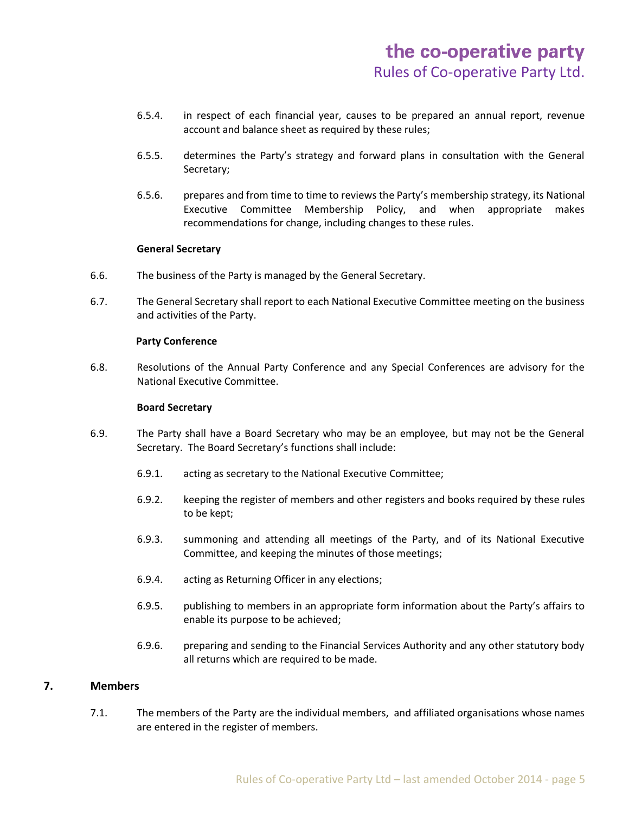- 6.5.4. in respect of each financial year, causes to be prepared an annual report, revenue account and balance sheet as required by these rules;
- 6.5.5. determines the Party's strategy and forward plans in consultation with the General Secretary;
- 6.5.6. prepares and from time to time to reviews the Party's membership strategy, its National Executive Committee Membership Policy, and when appropriate makes recommendations for change, including changes to these rules.

# **General Secretary**

- 6.6. The business of the Party is managed by the General Secretary.
- 6.7. The General Secretary shall report to each National Executive Committee meeting on the business and activities of the Party.

# **Party Conference**

6.8. Resolutions of the Annual Party Conference and any Special Conferences are advisory for the National Executive Committee.

# **Board Secretary**

- 6.9. The Party shall have a Board Secretary who may be an employee, but may not be the General Secretary. The Board Secretary's functions shall include:
	- 6.9.1. acting as secretary to the National Executive Committee;
	- 6.9.2. keeping the register of members and other registers and books required by these rules to be kept;
	- 6.9.3. summoning and attending all meetings of the Party, and of its National Executive Committee, and keeping the minutes of those meetings;
	- 6.9.4. acting as Returning Officer in any elections;
	- 6.9.5. publishing to members in an appropriate form information about the Party's affairs to enable its purpose to be achieved;
	- 6.9.6. preparing and sending to the Financial Services Authority and any other statutory body all returns which are required to be made.

# **7. Members**

7.1. The members of the Party are the individual members, and affiliated organisations whose names are entered in the register of members.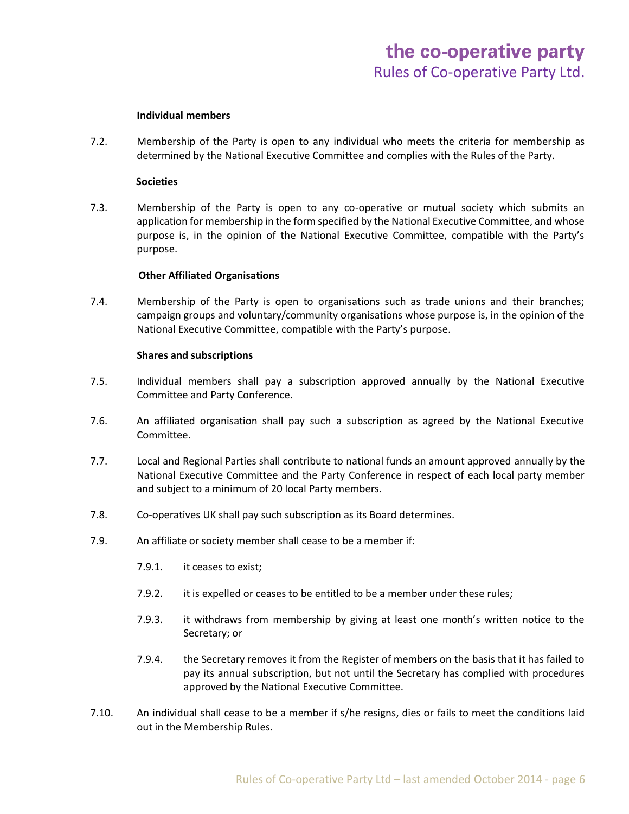#### **Individual members**

7.2. Membership of the Party is open to any individual who meets the criteria for membership as determined by the National Executive Committee and complies with the Rules of the Party.

#### **Societies**

7.3. Membership of the Party is open to any co-operative or mutual society which submits an application for membership in the form specified by the National Executive Committee, and whose purpose is, in the opinion of the National Executive Committee, compatible with the Party's purpose.

#### **Other Affiliated Organisations**

7.4. Membership of the Party is open to organisations such as trade unions and their branches; campaign groups and voluntary/community organisations whose purpose is, in the opinion of the National Executive Committee, compatible with the Party's purpose.

#### **Shares and subscriptions**

- 7.5. Individual members shall pay a subscription approved annually by the National Executive Committee and Party Conference.
- 7.6. An affiliated organisation shall pay such a subscription as agreed by the National Executive Committee.
- 7.7. Local and Regional Parties shall contribute to national funds an amount approved annually by the National Executive Committee and the Party Conference in respect of each local party member and subject to a minimum of 20 local Party members.
- 7.8. Co-operatives UK shall pay such subscription as its Board determines.
- 7.9. An affiliate or society member shall cease to be a member if:
	- 7.9.1. it ceases to exist;
	- 7.9.2. it is expelled or ceases to be entitled to be a member under these rules;
	- 7.9.3. it withdraws from membership by giving at least one month's written notice to the Secretary; or
	- 7.9.4. the Secretary removes it from the Register of members on the basis that it has failed to pay its annual subscription, but not until the Secretary has complied with procedures approved by the National Executive Committee.
- 7.10. An individual shall cease to be a member if s/he resigns, dies or fails to meet the conditions laid out in the Membership Rules.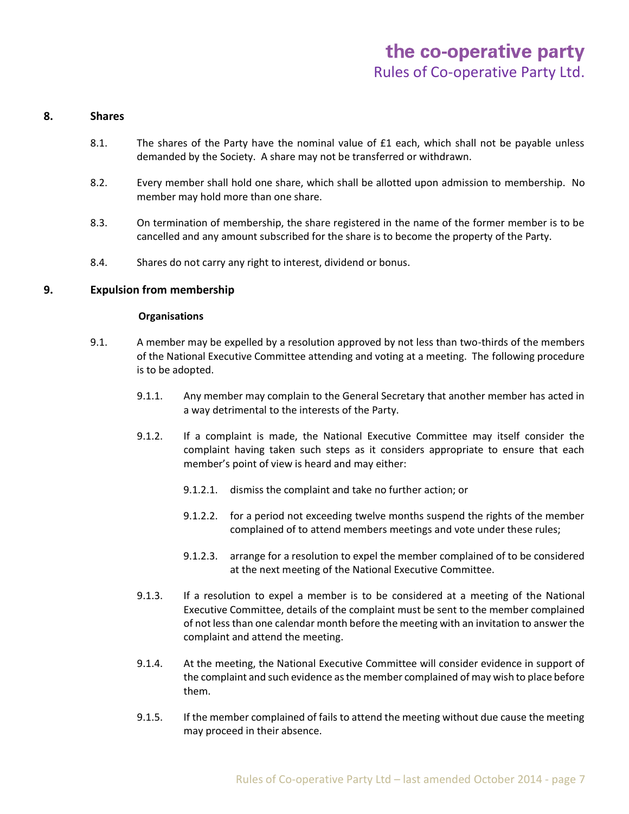#### **8. Shares**

- 8.1. The shares of the Party have the nominal value of £1 each, which shall not be payable unless demanded by the Society. A share may not be transferred or withdrawn.
- 8.2. Every member shall hold one share, which shall be allotted upon admission to membership. No member may hold more than one share.
- 8.3. On termination of membership, the share registered in the name of the former member is to be cancelled and any amount subscribed for the share is to become the property of the Party.
- 8.4. Shares do not carry any right to interest, dividend or bonus.

# **9. Expulsion from membership**

# **Organisations**

- 9.1. A member may be expelled by a resolution approved by not less than two-thirds of the members of the National Executive Committee attending and voting at a meeting. The following procedure is to be adopted.
	- 9.1.1. Any member may complain to the General Secretary that another member has acted in a way detrimental to the interests of the Party.
	- 9.1.2. If a complaint is made, the National Executive Committee may itself consider the complaint having taken such steps as it considers appropriate to ensure that each member's point of view is heard and may either:
		- 9.1.2.1. dismiss the complaint and take no further action; or
		- 9.1.2.2. for a period not exceeding twelve months suspend the rights of the member complained of to attend members meetings and vote under these rules;
		- 9.1.2.3. arrange for a resolution to expel the member complained of to be considered at the next meeting of the National Executive Committee.
	- 9.1.3. If a resolution to expel a member is to be considered at a meeting of the National Executive Committee, details of the complaint must be sent to the member complained of not less than one calendar month before the meeting with an invitation to answer the complaint and attend the meeting.
	- 9.1.4. At the meeting, the National Executive Committee will consider evidence in support of the complaint and such evidence as the member complained of may wish to place before them.
	- 9.1.5. If the member complained of fails to attend the meeting without due cause the meeting may proceed in their absence.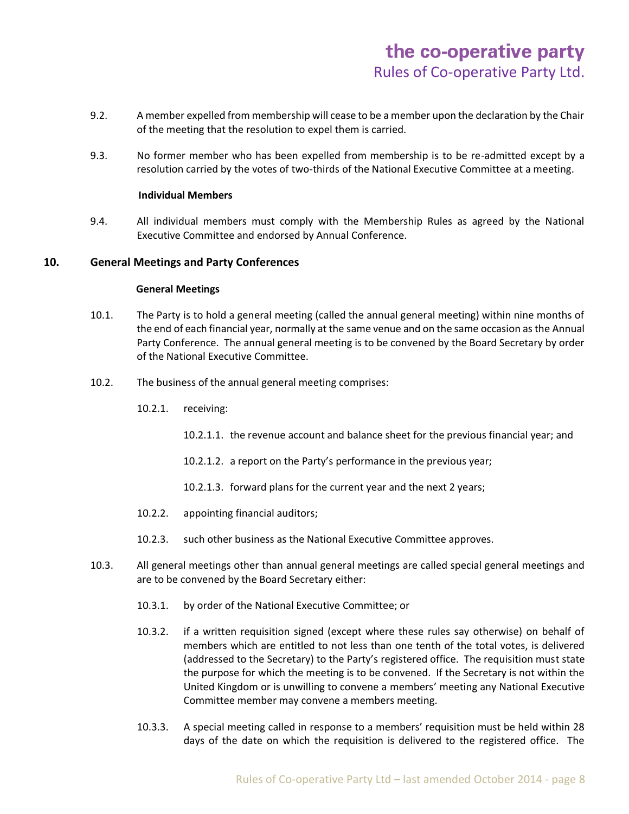- 9.2. A member expelled from membership will cease to be a member upon the declaration by the Chair of the meeting that the resolution to expel them is carried.
- 9.3. No former member who has been expelled from membership is to be re-admitted except by a resolution carried by the votes of two-thirds of the National Executive Committee at a meeting.

# **Individual Members**

9.4. All individual members must comply with the Membership Rules as agreed by the National Executive Committee and endorsed by Annual Conference.

# **10. General Meetings and Party Conferences**

# **General Meetings**

- 10.1. The Party is to hold a general meeting (called the annual general meeting) within nine months of the end of each financial year, normally at the same venue and on the same occasion as the Annual Party Conference. The annual general meeting is to be convened by the Board Secretary by order of the National Executive Committee.
- 10.2. The business of the annual general meeting comprises:
	- 10.2.1. receiving:
		- 10.2.1.1. the revenue account and balance sheet for the previous financial year; and
		- 10.2.1.2. a report on the Party's performance in the previous year;
		- 10.2.1.3. forward plans for the current year and the next 2 years;
	- 10.2.2. appointing financial auditors;
	- 10.2.3. such other business as the National Executive Committee approves.
- 10.3. All general meetings other than annual general meetings are called special general meetings and are to be convened by the Board Secretary either:
	- 10.3.1. by order of the National Executive Committee; or
	- 10.3.2. if a written requisition signed (except where these rules say otherwise) on behalf of members which are entitled to not less than one tenth of the total votes, is delivered (addressed to the Secretary) to the Party's registered office. The requisition must state the purpose for which the meeting is to be convened. If the Secretary is not within the United Kingdom or is unwilling to convene a members' meeting any National Executive Committee member may convene a members meeting.
	- 10.3.3. A special meeting called in response to a members' requisition must be held within 28 days of the date on which the requisition is delivered to the registered office. The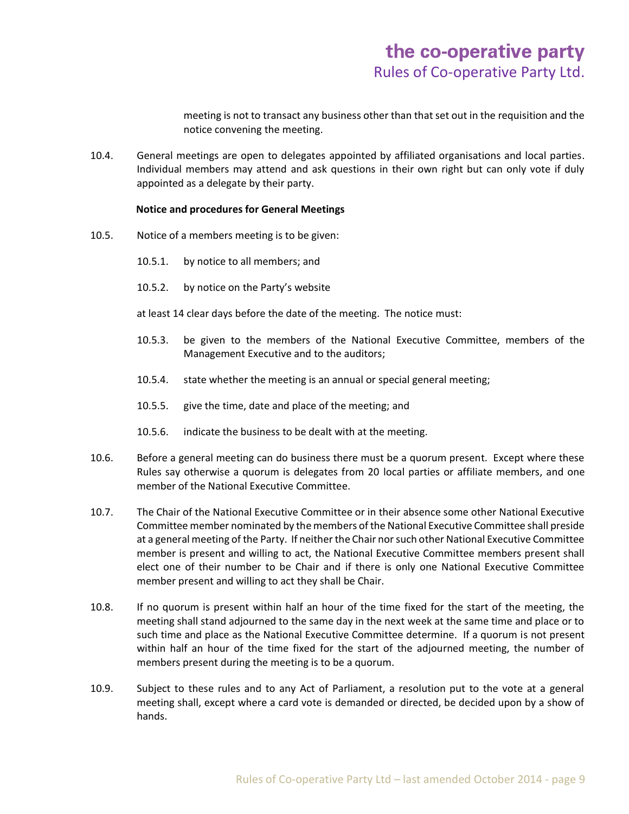meeting is not to transact any business other than that set out in the requisition and the notice convening the meeting.

10.4. General meetings are open to delegates appointed by affiliated organisations and local parties. Individual members may attend and ask questions in their own right but can only vote if duly appointed as a delegate by their party.

# **Notice and procedures for General Meetings**

- 10.5. Notice of a members meeting is to be given:
	- 10.5.1. by notice to all members; and
	- 10.5.2. by notice on the Party's website

at least 14 clear days before the date of the meeting. The notice must:

- 10.5.3. be given to the members of the National Executive Committee, members of the Management Executive and to the auditors;
- 10.5.4. state whether the meeting is an annual or special general meeting;
- 10.5.5. give the time, date and place of the meeting; and
- 10.5.6. indicate the business to be dealt with at the meeting.
- 10.6. Before a general meeting can do business there must be a quorum present. Except where these Rules say otherwise a quorum is delegates from 20 local parties or affiliate members, and one member of the National Executive Committee.
- 10.7. The Chair of the National Executive Committee or in their absence some other National Executive Committee member nominated by the members of the National Executive Committee shall preside at a general meeting of the Party. If neither the Chair nor such other National Executive Committee member is present and willing to act, the National Executive Committee members present shall elect one of their number to be Chair and if there is only one National Executive Committee member present and willing to act they shall be Chair.
- 10.8. If no quorum is present within half an hour of the time fixed for the start of the meeting, the meeting shall stand adjourned to the same day in the next week at the same time and place or to such time and place as the National Executive Committee determine. If a quorum is not present within half an hour of the time fixed for the start of the adjourned meeting, the number of members present during the meeting is to be a quorum.
- 10.9. Subject to these rules and to any Act of Parliament, a resolution put to the vote at a general meeting shall, except where a card vote is demanded or directed, be decided upon by a show of hands.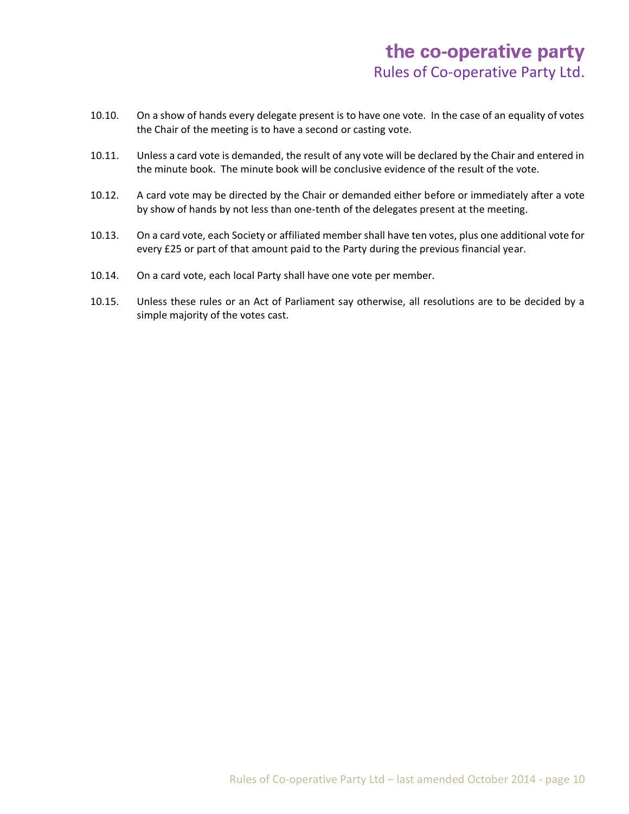- 10.10. On a show of hands every delegate present is to have one vote. In the case of an equality of votes the Chair of the meeting is to have a second or casting vote.
- 10.11. Unless a card vote is demanded, the result of any vote will be declared by the Chair and entered in the minute book. The minute book will be conclusive evidence of the result of the vote.
- 10.12. A card vote may be directed by the Chair or demanded either before or immediately after a vote by show of hands by not less than one-tenth of the delegates present at the meeting.
- 10.13. On a card vote, each Society or affiliated member shall have ten votes, plus one additional vote for every £25 or part of that amount paid to the Party during the previous financial year.
- 10.14. On a card vote, each local Party shall have one vote per member.
- 10.15. Unless these rules or an Act of Parliament say otherwise, all resolutions are to be decided by a simple majority of the votes cast.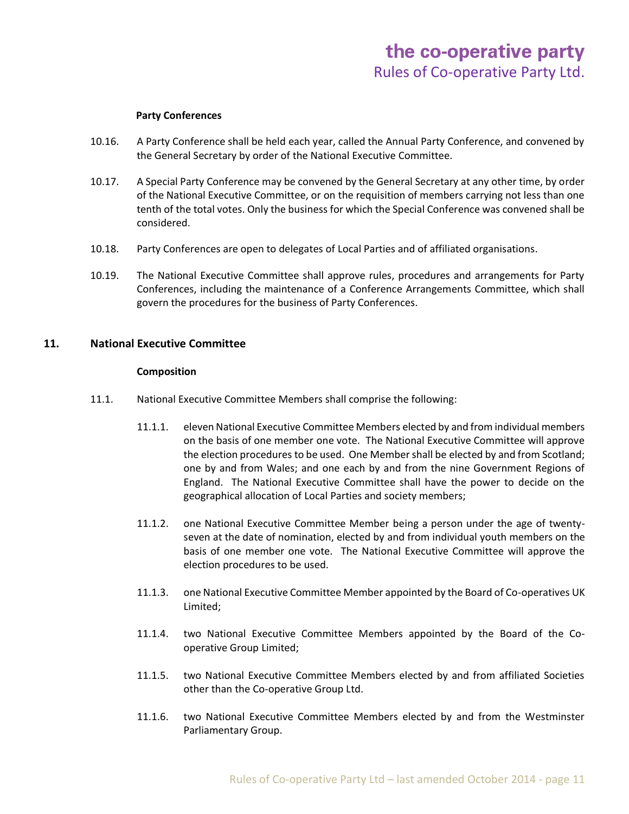#### **Party Conferences**

- 10.16. A Party Conference shall be held each year, called the Annual Party Conference, and convened by the General Secretary by order of the National Executive Committee.
- 10.17. A Special Party Conference may be convened by the General Secretary at any other time, by order of the National Executive Committee, or on the requisition of members carrying not less than one tenth of the total votes. Only the business for which the Special Conference was convened shall be considered.
- 10.18. Party Conferences are open to delegates of Local Parties and of affiliated organisations.
- 10.19. The National Executive Committee shall approve rules, procedures and arrangements for Party Conferences, including the maintenance of a Conference Arrangements Committee, which shall govern the procedures for the business of Party Conferences.

# **11. National Executive Committee**

#### **Composition**

- 11.1. National Executive Committee Members shall comprise the following:
	- 11.1.1. eleven National Executive Committee Members elected by and from individual members on the basis of one member one vote. The National Executive Committee will approve the election procedures to be used. One Member shall be elected by and from Scotland; one by and from Wales; and one each by and from the nine Government Regions of England. The National Executive Committee shall have the power to decide on the geographical allocation of Local Parties and society members;
	- 11.1.2. one National Executive Committee Member being a person under the age of twentyseven at the date of nomination, elected by and from individual youth members on the basis of one member one vote. The National Executive Committee will approve the election procedures to be used.
	- 11.1.3. one National Executive Committee Member appointed by the Board of Co-operatives UK Limited;
	- 11.1.4. two National Executive Committee Members appointed by the Board of the Cooperative Group Limited;
	- 11.1.5. two National Executive Committee Members elected by and from affiliated Societies other than the Co-operative Group Ltd.
	- 11.1.6. two National Executive Committee Members elected by and from the Westminster Parliamentary Group.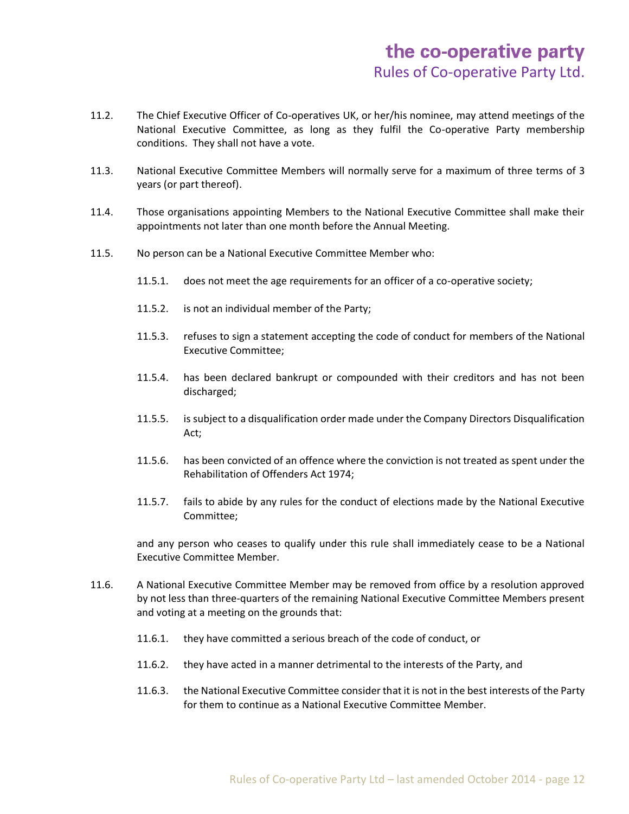- 11.2. The Chief Executive Officer of Co-operatives UK, or her/his nominee, may attend meetings of the National Executive Committee, as long as they fulfil the Co-operative Party membership conditions. They shall not have a vote.
- 11.3. National Executive Committee Members will normally serve for a maximum of three terms of 3 years (or part thereof).
- 11.4. Those organisations appointing Members to the National Executive Committee shall make their appointments not later than one month before the Annual Meeting.
- 11.5. No person can be a National Executive Committee Member who:
	- 11.5.1. does not meet the age requirements for an officer of a co-operative society;
	- 11.5.2. is not an individual member of the Party;
	- 11.5.3. refuses to sign a statement accepting the code of conduct for members of the National Executive Committee;
	- 11.5.4. has been declared bankrupt or compounded with their creditors and has not been discharged;
	- 11.5.5. is subject to a disqualification order made under the Company Directors Disqualification Act;
	- 11.5.6. has been convicted of an offence where the conviction is not treated as spent under the Rehabilitation of Offenders Act 1974;
	- 11.5.7. fails to abide by any rules for the conduct of elections made by the National Executive Committee;

and any person who ceases to qualify under this rule shall immediately cease to be a National Executive Committee Member.

- 11.6. A National Executive Committee Member may be removed from office by a resolution approved by not less than three-quarters of the remaining National Executive Committee Members present and voting at a meeting on the grounds that:
	- 11.6.1. they have committed a serious breach of the code of conduct, or
	- 11.6.2. they have acted in a manner detrimental to the interests of the Party, and
	- 11.6.3. the National Executive Committee consider that it is not in the best interests of the Party for them to continue as a National Executive Committee Member.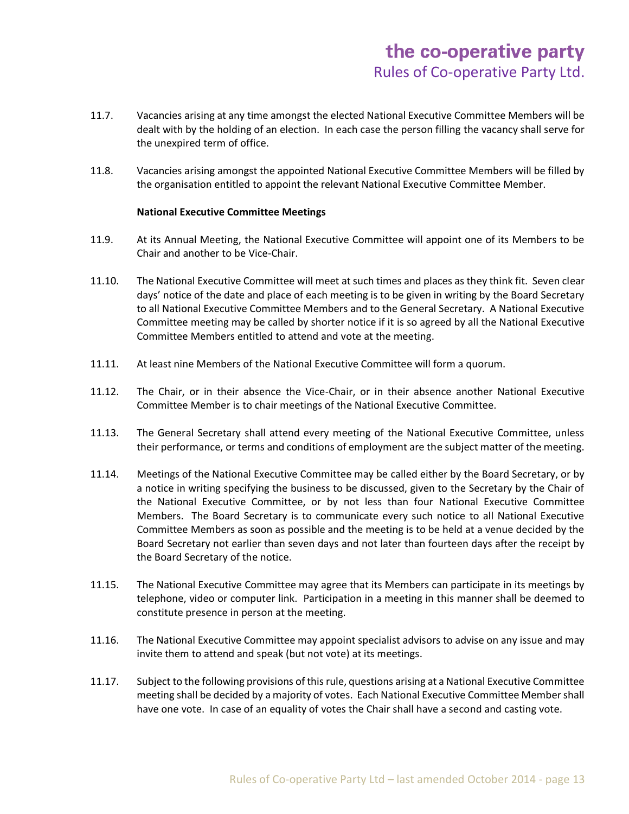- 11.7. Vacancies arising at any time amongst the elected National Executive Committee Members will be dealt with by the holding of an election. In each case the person filling the vacancy shall serve for the unexpired term of office.
- 11.8. Vacancies arising amongst the appointed National Executive Committee Members will be filled by the organisation entitled to appoint the relevant National Executive Committee Member.

# **National Executive Committee Meetings**

- 11.9. At its Annual Meeting, the National Executive Committee will appoint one of its Members to be Chair and another to be Vice-Chair.
- 11.10. The National Executive Committee will meet at such times and places as they think fit. Seven clear days' notice of the date and place of each meeting is to be given in writing by the Board Secretary to all National Executive Committee Members and to the General Secretary. A National Executive Committee meeting may be called by shorter notice if it is so agreed by all the National Executive Committee Members entitled to attend and vote at the meeting.
- 11.11. At least nine Members of the National Executive Committee will form a quorum.
- 11.12. The Chair, or in their absence the Vice-Chair, or in their absence another National Executive Committee Member is to chair meetings of the National Executive Committee.
- 11.13. The General Secretary shall attend every meeting of the National Executive Committee, unless their performance, or terms and conditions of employment are the subject matter of the meeting.
- 11.14. Meetings of the National Executive Committee may be called either by the Board Secretary, or by a notice in writing specifying the business to be discussed, given to the Secretary by the Chair of the National Executive Committee, or by not less than four National Executive Committee Members. The Board Secretary is to communicate every such notice to all National Executive Committee Members as soon as possible and the meeting is to be held at a venue decided by the Board Secretary not earlier than seven days and not later than fourteen days after the receipt by the Board Secretary of the notice.
- 11.15. The National Executive Committee may agree that its Members can participate in its meetings by telephone, video or computer link. Participation in a meeting in this manner shall be deemed to constitute presence in person at the meeting.
- 11.16. The National Executive Committee may appoint specialist advisors to advise on any issue and may invite them to attend and speak (but not vote) at its meetings.
- 11.17. Subject to the following provisions of this rule, questions arising at a National Executive Committee meeting shall be decided by a majority of votes. Each National Executive Committee Member shall have one vote. In case of an equality of votes the Chair shall have a second and casting vote.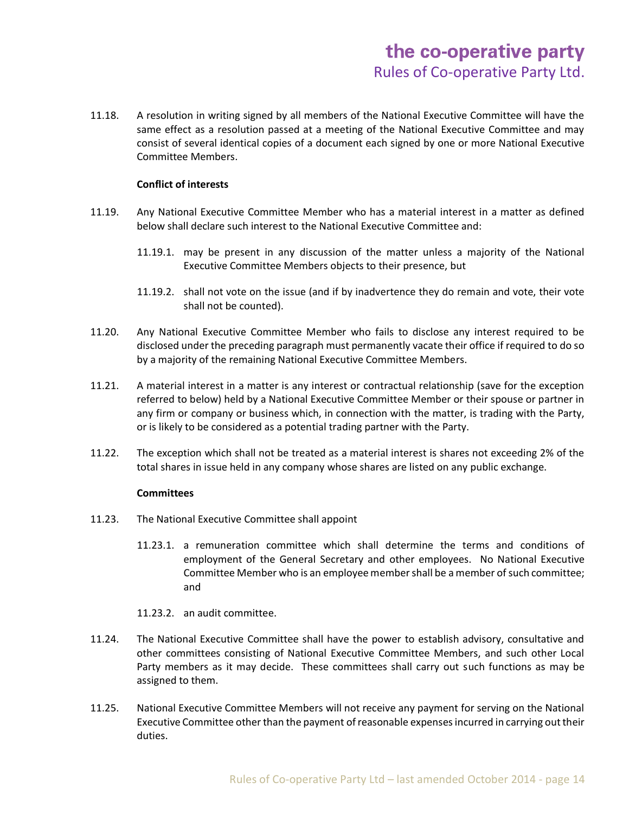11.18. A resolution in writing signed by all members of the National Executive Committee will have the same effect as a resolution passed at a meeting of the National Executive Committee and may consist of several identical copies of a document each signed by one or more National Executive Committee Members.

# **Conflict of interests**

- 11.19. Any National Executive Committee Member who has a material interest in a matter as defined below shall declare such interest to the National Executive Committee and:
	- 11.19.1. may be present in any discussion of the matter unless a majority of the National Executive Committee Members objects to their presence, but
	- 11.19.2. shall not vote on the issue (and if by inadvertence they do remain and vote, their vote shall not be counted).
- 11.20. Any National Executive Committee Member who fails to disclose any interest required to be disclosed under the preceding paragraph must permanently vacate their office if required to do so by a majority of the remaining National Executive Committee Members.
- 11.21. A material interest in a matter is any interest or contractual relationship (save for the exception referred to below) held by a National Executive Committee Member or their spouse or partner in any firm or company or business which, in connection with the matter, is trading with the Party, or is likely to be considered as a potential trading partner with the Party.
- 11.22. The exception which shall not be treated as a material interest is shares not exceeding 2% of the total shares in issue held in any company whose shares are listed on any public exchange.

# **Committees**

- 11.23. The National Executive Committee shall appoint
	- 11.23.1. a remuneration committee which shall determine the terms and conditions of employment of the General Secretary and other employees. No National Executive Committee Member who is an employee member shall be a member of such committee; and
	- 11.23.2. an audit committee.
- 11.24. The National Executive Committee shall have the power to establish advisory, consultative and other committees consisting of National Executive Committee Members, and such other Local Party members as it may decide. These committees shall carry out such functions as may be assigned to them.
- 11.25. National Executive Committee Members will not receive any payment for serving on the National Executive Committee other than the payment of reasonable expenses incurred in carrying out their duties.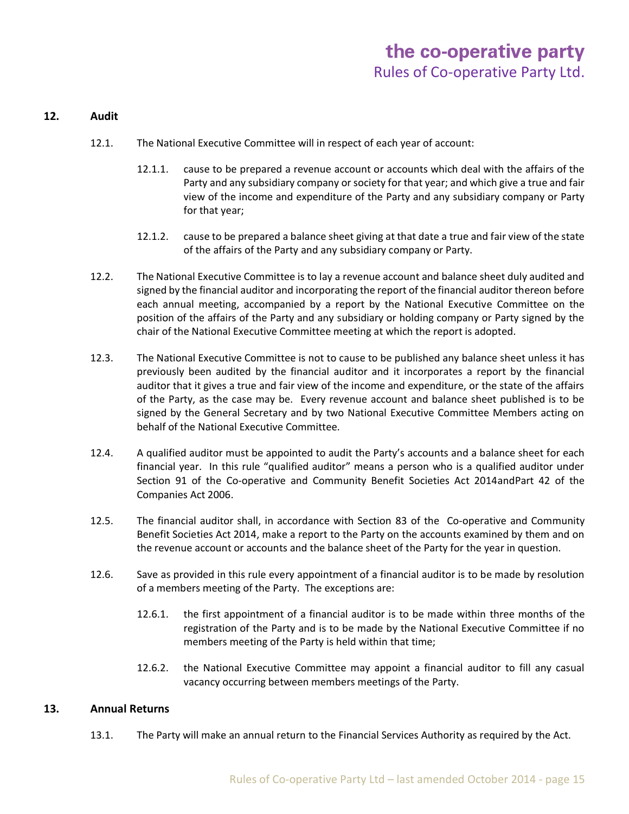# **12. Audit**

- 12.1. The National Executive Committee will in respect of each year of account:
	- 12.1.1. cause to be prepared a revenue account or accounts which deal with the affairs of the Party and any subsidiary company or society for that year; and which give a true and fair view of the income and expenditure of the Party and any subsidiary company or Party for that year;
	- 12.1.2. cause to be prepared a balance sheet giving at that date a true and fair view of the state of the affairs of the Party and any subsidiary company or Party.
- 12.2. The National Executive Committee is to lay a revenue account and balance sheet duly audited and signed by the financial auditor and incorporating the report of the financial auditor thereon before each annual meeting, accompanied by a report by the National Executive Committee on the position of the affairs of the Party and any subsidiary or holding company or Party signed by the chair of the National Executive Committee meeting at which the report is adopted.
- 12.3. The National Executive Committee is not to cause to be published any balance sheet unless it has previously been audited by the financial auditor and it incorporates a report by the financial auditor that it gives a true and fair view of the income and expenditure, or the state of the affairs of the Party, as the case may be. Every revenue account and balance sheet published is to be signed by the General Secretary and by two National Executive Committee Members acting on behalf of the National Executive Committee.
- 12.4. A qualified auditor must be appointed to audit the Party's accounts and a balance sheet for each financial year. In this rule "qualified auditor" means a person who is a qualified auditor under Section 91 of the Co-operative and Community Benefit Societies Act 2014andPart 42 of the Companies Act 2006.
- 12.5. The financial auditor shall, in accordance with Section 83 of the Co-operative and Community Benefit Societies Act 2014, make a report to the Party on the accounts examined by them and on the revenue account or accounts and the balance sheet of the Party for the year in question.
- 12.6. Save as provided in this rule every appointment of a financial auditor is to be made by resolution of a members meeting of the Party. The exceptions are:
	- 12.6.1. the first appointment of a financial auditor is to be made within three months of the registration of the Party and is to be made by the National Executive Committee if no members meeting of the Party is held within that time;
	- 12.6.2. the National Executive Committee may appoint a financial auditor to fill any casual vacancy occurring between members meetings of the Party.

# **13. Annual Returns**

13.1. The Party will make an annual return to the Financial Services Authority as required by the Act.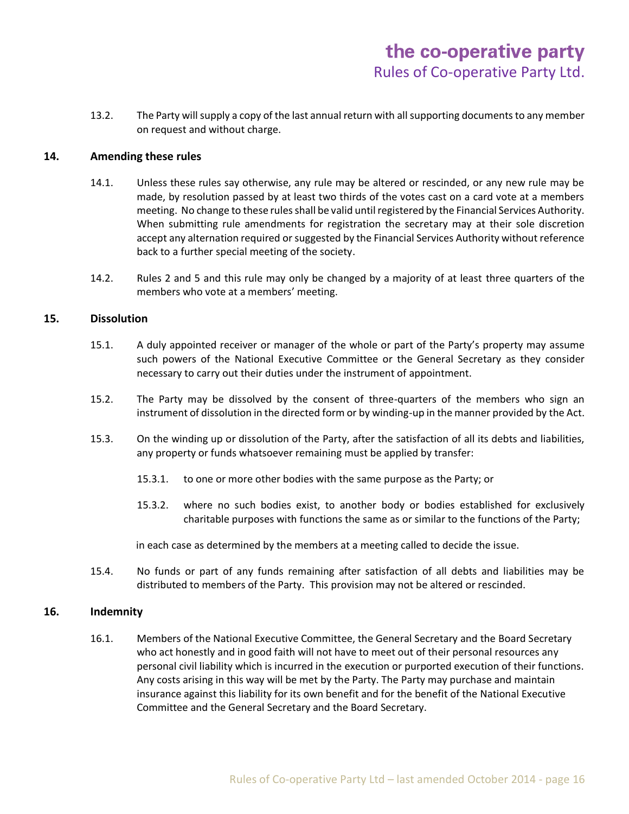13.2. The Party will supply a copy of the last annual return with all supporting documents to any member on request and without charge.

# **14. Amending these rules**

- 14.1. Unless these rules say otherwise, any rule may be altered or rescinded, or any new rule may be made, by resolution passed by at least two thirds of the votes cast on a card vote at a members meeting. No change to these rules shall be valid until registered by the Financial Services Authority. When submitting rule amendments for registration the secretary may at their sole discretion accept any alternation required or suggested by the Financial Services Authority without reference back to a further special meeting of the society.
- 14.2. Rules 2 and 5 and this rule may only be changed by a majority of at least three quarters of the members who vote at a members' meeting.

# **15. Dissolution**

- 15.1. A duly appointed receiver or manager of the whole or part of the Party's property may assume such powers of the National Executive Committee or the General Secretary as they consider necessary to carry out their duties under the instrument of appointment.
- 15.2. The Party may be dissolved by the consent of three-quarters of the members who sign an instrument of dissolution in the directed form or by winding-up in the manner provided by the Act.
- 15.3. On the winding up or dissolution of the Party, after the satisfaction of all its debts and liabilities, any property or funds whatsoever remaining must be applied by transfer:
	- 15.3.1. to one or more other bodies with the same purpose as the Party; or
	- 15.3.2. where no such bodies exist, to another body or bodies established for exclusively charitable purposes with functions the same as or similar to the functions of the Party;

in each case as determined by the members at a meeting called to decide the issue.

15.4. No funds or part of any funds remaining after satisfaction of all debts and liabilities may be distributed to members of the Party. This provision may not be altered or rescinded.

# **16. Indemnity**

16.1. Members of the National Executive Committee, the General Secretary and the Board Secretary who act honestly and in good faith will not have to meet out of their personal resources any personal civil liability which is incurred in the execution or purported execution of their functions. Any costs arising in this way will be met by the Party. The Party may purchase and maintain insurance against this liability for its own benefit and for the benefit of the National Executive Committee and the General Secretary and the Board Secretary.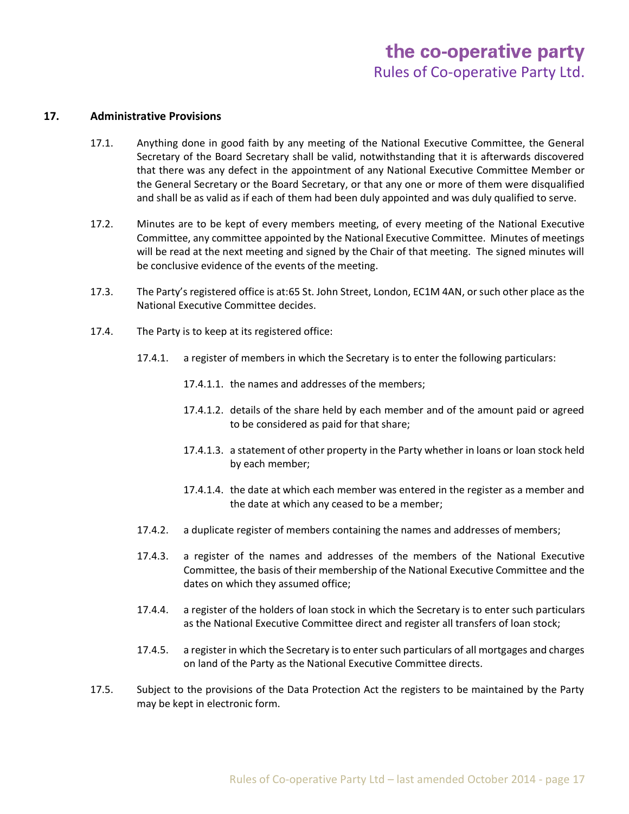# **17. Administrative Provisions**

- 17.1. Anything done in good faith by any meeting of the National Executive Committee, the General Secretary of the Board Secretary shall be valid, notwithstanding that it is afterwards discovered that there was any defect in the appointment of any National Executive Committee Member or the General Secretary or the Board Secretary, or that any one or more of them were disqualified and shall be as valid as if each of them had been duly appointed and was duly qualified to serve.
- 17.2. Minutes are to be kept of every members meeting, of every meeting of the National Executive Committee, any committee appointed by the National Executive Committee. Minutes of meetings will be read at the next meeting and signed by the Chair of that meeting. The signed minutes will be conclusive evidence of the events of the meeting.
- 17.3. The Party's registered office is at:65 St. John Street, London, EC1M 4AN, or such other place as the National Executive Committee decides.
- 17.4. The Party is to keep at its registered office:
	- 17.4.1. a register of members in which the Secretary is to enter the following particulars:
		- 17.4.1.1. the names and addresses of the members;
		- 17.4.1.2. details of the share held by each member and of the amount paid or agreed to be considered as paid for that share;
		- 17.4.1.3. a statement of other property in the Party whether in loans or loan stock held by each member;
		- 17.4.1.4. the date at which each member was entered in the register as a member and the date at which any ceased to be a member;
	- 17.4.2. a duplicate register of members containing the names and addresses of members;
	- 17.4.3. a register of the names and addresses of the members of the National Executive Committee, the basis of their membership of the National Executive Committee and the dates on which they assumed office;
	- 17.4.4. a register of the holders of loan stock in which the Secretary is to enter such particulars as the National Executive Committee direct and register all transfers of loan stock;
	- 17.4.5. a register in which the Secretary is to enter such particulars of all mortgages and charges on land of the Party as the National Executive Committee directs.
- 17.5. Subject to the provisions of the Data Protection Act the registers to be maintained by the Party may be kept in electronic form.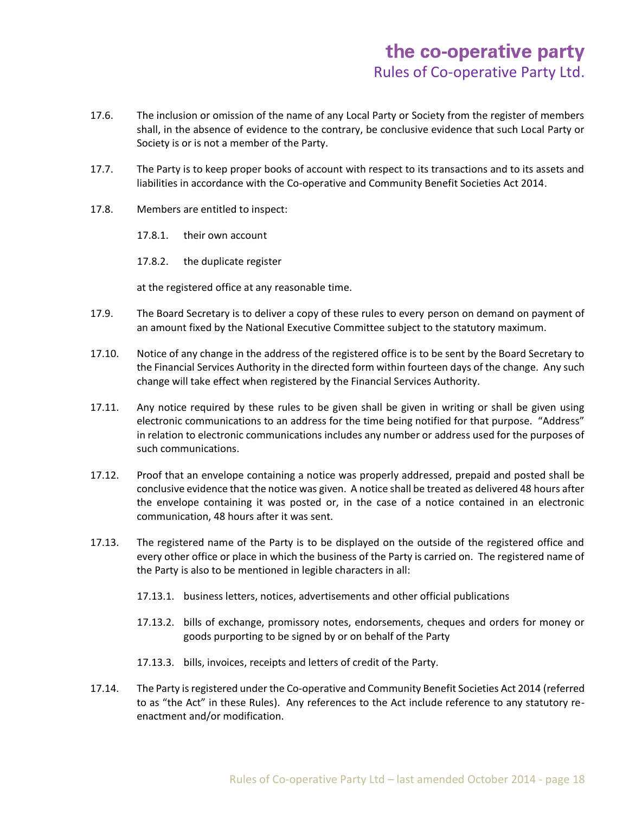- 17.6. The inclusion or omission of the name of any Local Party or Society from the register of members shall, in the absence of evidence to the contrary, be conclusive evidence that such Local Party or Society is or is not a member of the Party.
- 17.7. The Party is to keep proper books of account with respect to its transactions and to its assets and liabilities in accordance with the Co-operative and Community Benefit Societies Act 2014.
- 17.8. Members are entitled to inspect:
	- 17.8.1. their own account
	- 17.8.2. the duplicate register

at the registered office at any reasonable time.

- 17.9. The Board Secretary is to deliver a copy of these rules to every person on demand on payment of an amount fixed by the National Executive Committee subject to the statutory maximum.
- 17.10. Notice of any change in the address of the registered office is to be sent by the Board Secretary to the Financial Services Authority in the directed form within fourteen days of the change. Any such change will take effect when registered by the Financial Services Authority.
- 17.11. Any notice required by these rules to be given shall be given in writing or shall be given using electronic communications to an address for the time being notified for that purpose. "Address" in relation to electronic communications includes any number or address used for the purposes of such communications.
- 17.12. Proof that an envelope containing a notice was properly addressed, prepaid and posted shall be conclusive evidence that the notice was given. A notice shall be treated as delivered 48 hours after the envelope containing it was posted or, in the case of a notice contained in an electronic communication, 48 hours after it was sent.
- 17.13. The registered name of the Party is to be displayed on the outside of the registered office and every other office or place in which the business of the Party is carried on. The registered name of the Party is also to be mentioned in legible characters in all:
	- 17.13.1. business letters, notices, advertisements and other official publications
	- 17.13.2. bills of exchange, promissory notes, endorsements, cheques and orders for money or goods purporting to be signed by or on behalf of the Party
	- 17.13.3. bills, invoices, receipts and letters of credit of the Party.
- 17.14. The Party is registered under the Co-operative and Community Benefit Societies Act 2014 (referred to as "the Act" in these Rules). Any references to the Act include reference to any statutory reenactment and/or modification.